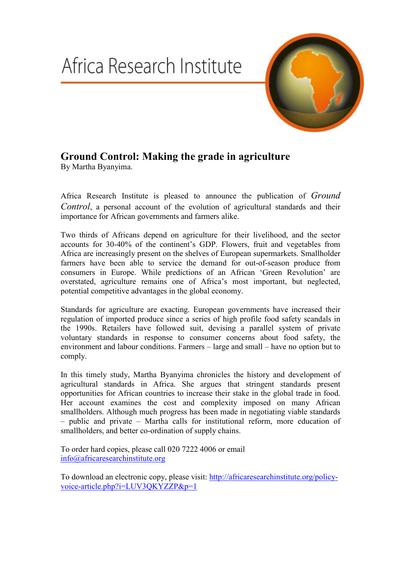## Africa Research Institute



## **Ground Control: Making the grade in agriculture**

By Martha Byanyima.

Africa Research Institute is pleased to announce the publication of *Ground Control*, a personal account of the evolution of agricultural standards and their importance for African governments and farmers alike.

Two thirds of Africans depend on agriculture for their livelihood, and the sector accounts for 30-40% of the continent's GDP. Flowers, fruit and vegetables from Africa are increasingly present on the shelves of European supermarkets. Smallholder farmers have been able to service the demand for out-of-season produce from consumers in Europe. While predictions of an African 'Green Revolution' are overstated, agriculture remains one of Africa's most important, but neglected, potential competitive advantages in the global economy.

Standards for agriculture are exacting. European governments have increased their regulation of imported produce since a series of high profile food safety scandals in the 1990s. Retailers have followed suit, devising a parallel system of private voluntary standards in response to consumer concerns about food safety, the environment and labour conditions. Farmers – large and small – have no option but to comply.

In this timely study, Martha Byanyima chronicles the history and development of agricultural standards in Africa. She argues that stringent standards present opportunities for African countries to increase their stake in the global trade in food. Her account examines the cost and complexity imposed on many African smallholders. Although much progress has been made in negotiating viable standards – public and private – Martha calls for institutional reform, more education of smallholders, and better co-ordination of supply chains.

To order hard copies, please call 020 7222 4006 or email [info@africaresearchinstitute.org](mailto:info@africaresearchinstitute.org)

To download an electronic copy, please visit: [http://africaresearchinstitute.org/policy](http://africaresearchinstitute.org/policy-voice-article.php?i=LUV3QKYZZP&p=1)[voice-article.php?i=LUV3QKYZZP&p=1](http://africaresearchinstitute.org/policy-voice-article.php?i=LUV3QKYZZP&p=1)